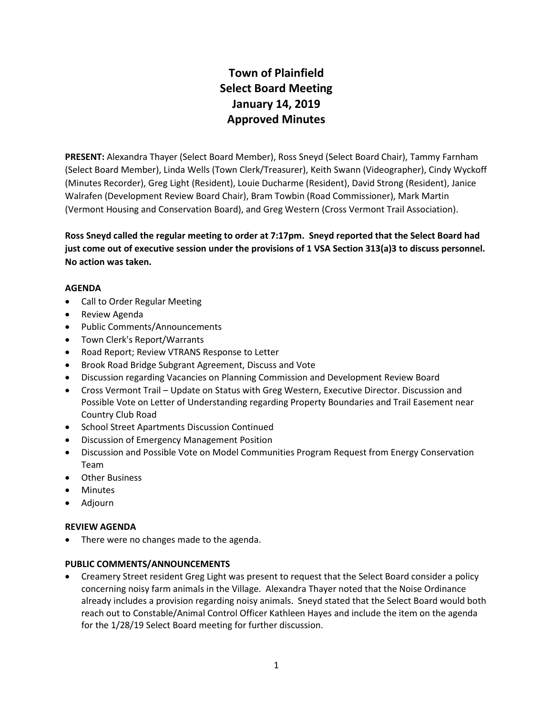# **Town of Plainfield Select Board Meeting January 14, 2019 Approved Minutes**

**PRESENT:** Alexandra Thayer (Select Board Member), Ross Sneyd (Select Board Chair), Tammy Farnham (Select Board Member), Linda Wells (Town Clerk/Treasurer), Keith Swann (Videographer), Cindy Wyckoff (Minutes Recorder), Greg Light (Resident), Louie Ducharme (Resident), David Strong (Resident), Janice Walrafen (Development Review Board Chair), Bram Towbin (Road Commissioner), Mark Martin (Vermont Housing and Conservation Board), and Greg Western (Cross Vermont Trail Association).

**Ross Sneyd called the regular meeting to order at 7:17pm. Sneyd reported that the Select Board had just come out of executive session under the provisions of 1 VSA Section 313(a)3 to discuss personnel. No action was taken.** 

# **AGENDA**

- Call to Order Regular Meeting
- Review Agenda
- Public Comments/Announcements
- Town Clerk's Report/Warrants
- Road Report; Review VTRANS Response to Letter
- Brook Road Bridge Subgrant Agreement, Discuss and Vote
- Discussion regarding Vacancies on Planning Commission and Development Review Board
- Cross Vermont Trail Update on Status with Greg Western, Executive Director. Discussion and Possible Vote on Letter of Understanding regarding Property Boundaries and Trail Easement near Country Club Road
- **•** School Street Apartments Discussion Continued
- Discussion of Emergency Management Position
- Discussion and Possible Vote on Model Communities Program Request from Energy Conservation Team
- Other Business
- Minutes
- Adjourn

### **REVIEW AGENDA**

• There were no changes made to the agenda.

### **PUBLIC COMMENTS/ANNOUNCEMENTS**

 Creamery Street resident Greg Light was present to request that the Select Board consider a policy concerning noisy farm animals in the Village. Alexandra Thayer noted that the Noise Ordinance already includes a provision regarding noisy animals. Sneyd stated that the Select Board would both reach out to Constable/Animal Control Officer Kathleen Hayes and include the item on the agenda for the 1/28/19 Select Board meeting for further discussion.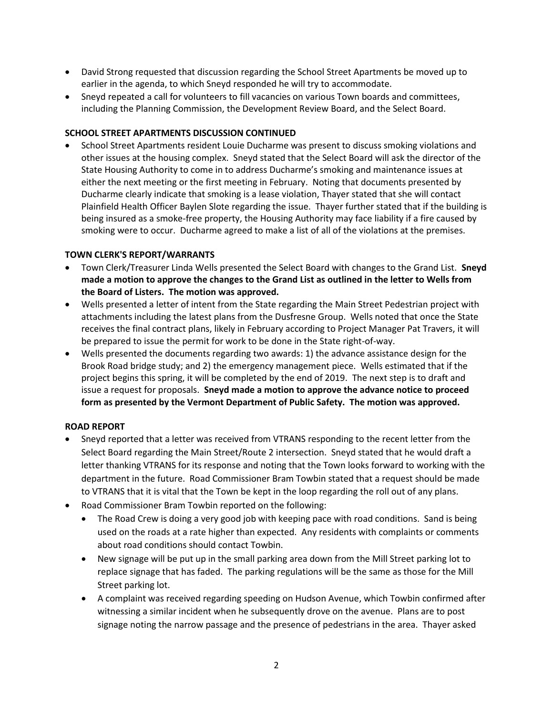- David Strong requested that discussion regarding the School Street Apartments be moved up to earlier in the agenda, to which Sneyd responded he will try to accommodate.
- Sneyd repeated a call for volunteers to fill vacancies on various Town boards and committees, including the Planning Commission, the Development Review Board, and the Select Board.

#### **SCHOOL STREET APARTMENTS DISCUSSION CONTINUED**

 School Street Apartments resident Louie Ducharme was present to discuss smoking violations and other issues at the housing complex. Sneyd stated that the Select Board will ask the director of the State Housing Authority to come in to address Ducharme's smoking and maintenance issues at either the next meeting or the first meeting in February. Noting that documents presented by Ducharme clearly indicate that smoking is a lease violation, Thayer stated that she will contact Plainfield Health Officer Baylen Slote regarding the issue. Thayer further stated that if the building is being insured as a smoke-free property, the Housing Authority may face liability if a fire caused by smoking were to occur. Ducharme agreed to make a list of all of the violations at the premises.

#### **TOWN CLERK'S REPORT/WARRANTS**

- Town Clerk/Treasurer Linda Wells presented the Select Board with changes to the Grand List. **Sneyd made a motion to approve the changes to the Grand List as outlined in the letter to Wells from the Board of Listers. The motion was approved.**
- Wells presented a letter of intent from the State regarding the Main Street Pedestrian project with attachments including the latest plans from the Dusfresne Group. Wells noted that once the State receives the final contract plans, likely in February according to Project Manager Pat Travers, it will be prepared to issue the permit for work to be done in the State right-of-way.
- Wells presented the documents regarding two awards: 1) the advance assistance design for the Brook Road bridge study; and 2) the emergency management piece. Wells estimated that if the project begins this spring, it will be completed by the end of 2019. The next step is to draft and issue a request for proposals. **Sneyd made a motion to approve the advance notice to proceed form as presented by the Vermont Department of Public Safety. The motion was approved.**

### **ROAD REPORT**

- Sneyd reported that a letter was received from VTRANS responding to the recent letter from the Select Board regarding the Main Street/Route 2 intersection. Sneyd stated that he would draft a letter thanking VTRANS for its response and noting that the Town looks forward to working with the department in the future. Road Commissioner Bram Towbin stated that a request should be made to VTRANS that it is vital that the Town be kept in the loop regarding the roll out of any plans.
- Road Commissioner Bram Towbin reported on the following:
	- The Road Crew is doing a very good job with keeping pace with road conditions. Sand is being used on the roads at a rate higher than expected. Any residents with complaints or comments about road conditions should contact Towbin.
	- New signage will be put up in the small parking area down from the Mill Street parking lot to replace signage that has faded. The parking regulations will be the same as those for the Mill Street parking lot.
	- A complaint was received regarding speeding on Hudson Avenue, which Towbin confirmed after witnessing a similar incident when he subsequently drove on the avenue. Plans are to post signage noting the narrow passage and the presence of pedestrians in the area. Thayer asked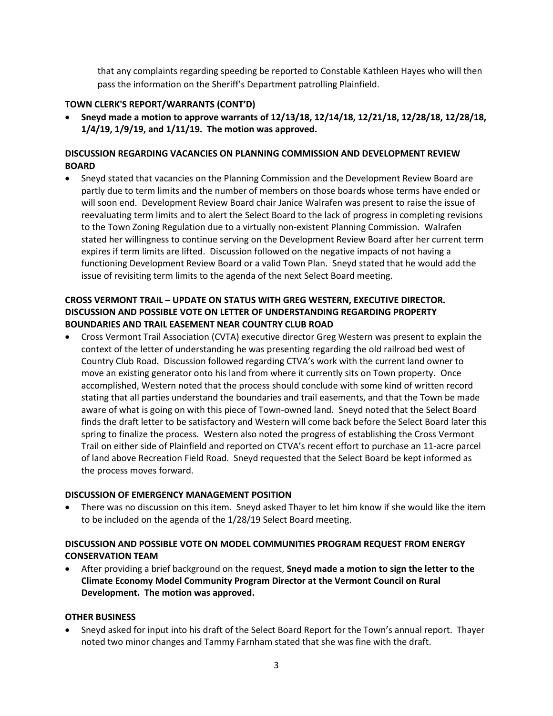that any complaints regarding speeding be reported to Constable Kathleen Hayes who will then pass the information on the Sheriff's Department patrolling Plainfield.

# **TOWN CLERK'S REPORT/WARRANTS (CONT'D)**

 **Sneyd made a motion to approve warrants of 12/13/18, 12/14/18, 12/21/18, 12/28/18, 12/28/18, 1/4/19, 1/9/19, and 1/11/19. The motion was approved.**

## **DISCUSSION REGARDING VACANCIES ON PLANNING COMMISSION AND DEVELOPMENT REVIEW BOARD**

 Sneyd stated that vacancies on the Planning Commission and the Development Review Board are partly due to term limits and the number of members on those boards whose terms have ended or will soon end. Development Review Board chair Janice Walrafen was present to raise the issue of reevaluating term limits and to alert the Select Board to the lack of progress in completing revisions to the Town Zoning Regulation due to a virtually non-existent Planning Commission. Walrafen stated her willingness to continue serving on the Development Review Board after her current term expires if term limits are lifted. Discussion followed on the negative impacts of not having a functioning Development Review Board or a valid Town Plan. Sneyd stated that he would add the issue of revisiting term limits to the agenda of the next Select Board meeting.

# **CROSS VERMONT TRAIL – UPDATE ON STATUS WITH GREG WESTERN, EXECUTIVE DIRECTOR. DISCUSSION AND POSSIBLE VOTE ON LETTER OF UNDERSTANDING REGARDING PROPERTY BOUNDARIES AND TRAIL EASEMENT NEAR COUNTRY CLUB ROAD**

 Cross Vermont Trail Association (CVTA) executive director Greg Western was present to explain the context of the letter of understanding he was presenting regarding the old railroad bed west of Country Club Road. Discussion followed regarding CTVA's work with the current land owner to move an existing generator onto his land from where it currently sits on Town property. Once accomplished, Western noted that the process should conclude with some kind of written record stating that all parties understand the boundaries and trail easements, and that the Town be made aware of what is going on with this piece of Town-owned land. Sneyd noted that the Select Board finds the draft letter to be satisfactory and Western will come back before the Select Board later this spring to finalize the process. Western also noted the progress of establishing the Cross Vermont Trail on either side of Plainfield and reported on CTVA's recent effort to purchase an 11-acre parcel of land above Recreation Field Road. Sneyd requested that the Select Board be kept informed as the process moves forward.

### **DISCUSSION OF EMERGENCY MANAGEMENT POSITION**

 There was no discussion on this item. Sneyd asked Thayer to let him know if she would like the item to be included on the agenda of the 1/28/19 Select Board meeting.

# **DISCUSSION AND POSSIBLE VOTE ON MODEL COMMUNITIES PROGRAM REQUEST FROM ENERGY CONSERVATION TEAM**

 After providing a brief background on the request, **Sneyd made a motion to sign the letter to the Climate Economy Model Community Program Director at the Vermont Council on Rural Development. The motion was approved.**

### **OTHER BUSINESS**

 Sneyd asked for input into his draft of the Select Board Report for the Town's annual report. Thayer noted two minor changes and Tammy Farnham stated that she was fine with the draft.